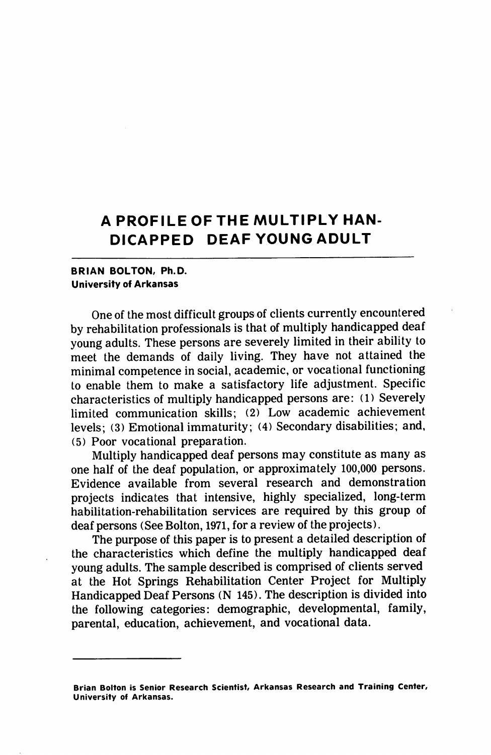# A PROFILEOFTHE MULTIPLY HAN DICAPPED DEAF YOUNG ADULT

## BRIAN BOLTON, Ph.D. University of Arkansas

One of the most difficult groups of clients currently encountered by rehabilitation professionals is that of multiply handicapped deaf young adults. These persons are severely limited in their ability to meet the demands of daily living. They have not attained the minimal competence in social, academic, or vocational functioning to enable them to make a satisfactory life adjustment. Specific characteristics of multiply handicapped persons are: (1) Severely limited communication skills; (2) Low academic achievement levels; (3) Emotional immaturity; (4) Secondary disabilities; and, (5) Poor vocational preparation.

Multiply handicapped deaf persons may constitute as many as one half of the deaf population, or approximately 100,000 persons. Evidence available from several research and demonstration projects indicates that intensive, highly specialized, long-term habilitation-rehabilitation services are required by this group of deaf persons (See Bolton, 1971, for a review of the projects).

The purpose of this paper is to present a detailed description of the characteristics which define the multiply handicapped deaf young adults. The sample described is comprised of clients served at the Hot Springs Rehabilitation Center Project for Multiply Handicapped Deaf Persons (N 145). The description is divided into the following categories: demographic, developmental, family, parental, education, achievement, and vocational data.

Brian Bolton is Senior Research Scientist, Arkansas Research and Training Center, University of Arkansas.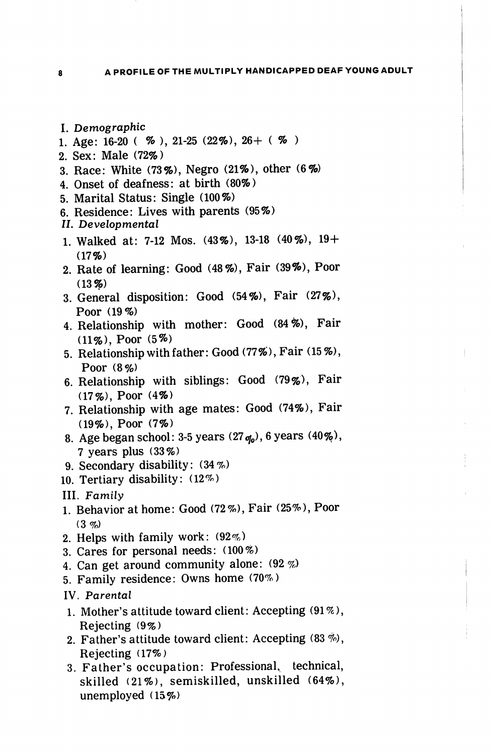- I. Demographic
- 1. Age: 16-20 (  $\%$  ), 21-25 (22\%), 26+ (  $\%$  )
- 2. Sex: Male (72%)
- 3. Race: White (73%), Negro (21%), other (6%)
- 4. Onset of deafness: at birth (80%)
- 5. Marital Status: Single (100%)
- 6. Residence: Lives with parents (95%)
- II. Developmental
- 1. Walked at: 7-12 Mos. (43%), 13-18 (40%), 19+  $(17%)$
- 2. Rate of learning: Good (48%), Fair (39%), Poor  $(13%)$
- 3. General disposition: Good (54%), Fair (27%), Poor (19%)
- 4. Relationship with mother: Good (84%), Fair (11%), Poor (5%)
- 5. Relationship with father: Good (77%), Fair (15%), Poor (8%)
- 6. Relationship with siblings: Good (79%), Fair (17%), Poor (4%)
- 7. Relationship with age mates: Good (74%), Fair (19%), Poor (7%)
- 8. Age began school: 3-5 years  $(27<sub>q<sub>0</sub></sub>)$ , 6 years  $(40\%)$ , 7 years plus (33%)
- 9. Secondary disability: (34%)
- 10. Tertiary disability: (12%)
- III. Family
- 1. Behavior at home: Good (72%), Fair (25%), Poor  $(3 \, \phi)$
- 2. Helps with family work: (92%)
- 3. Cares for personal needs: (100%)
- 4. Can get around community alone: (92%)
- 5. Family residence: Owns home (70%)
- IV. Parental
- 1. Mother's attitude toward client: Accepting (91%), Rejecting (9%)
- 2. Father's attitude toward client: Accepting  $(83\%)$ , Rejecting (17%)
- 3. Father's occupation: Professional, technical, skilled (21%), semiskilled, unskilled (64%), unemployed (15%)

8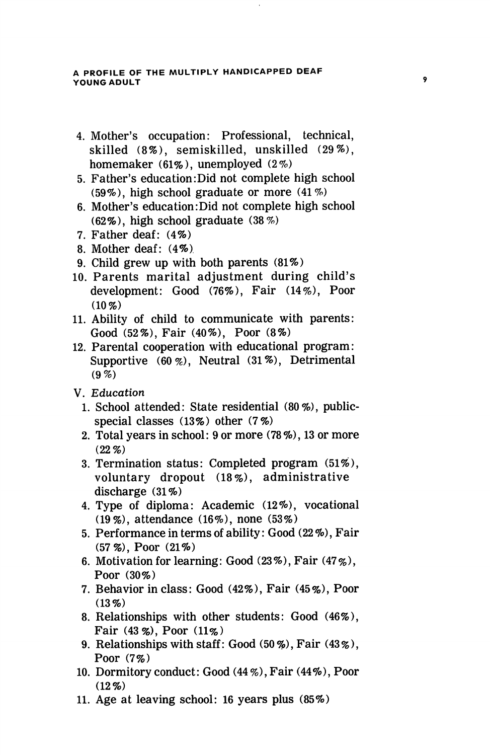#### A PROFILE OF THE MULTIPLY HANDICAPPED DEAF YOUNG ADULT

- 4. Mother's occupation: Professional, technical, skilled (8%), semiskilled, unskilled (29%), homemaker (61%), unemployed (2%)
- 5. Father's education:Did not complete high school (59%), high school graduate or more (41%)
- 6. Mother's education:Did not complete high school (62%), high school graduate (38%)
- 7. Father deaf: (4%)
- 8. Mother deaf: (4%)
- 9. Child grew up with both parents (81%)
- 10. Parents marital adjustment during child's development: Good (76%), Fair (14%), Poor  $(10 \%)$
- 11. Ability of child to communicate with parents: Good (52%), Fair (40%), Poor (8%)
- 12. Parental cooperation with educational program: Supportive  $(60 \%)$ , Neutral  $(31 \%)$ , Detrimental (9%)
- V. Education
	- 1. School attended: State residential (80%), publicspecial classes (13%) other (7%)
	- 2. Total years in school: 9 or more (78%), 13 or more  $(22.9)$
	- 3. Termination status: Completed program (51%), voluntary dropout (18%), administrative discharge (31%)
	- 4. Type of diploma: Academic (12%), vocational (19%), attendance (16%), none (53%)
	- 5. Performance in terms of ability: Good (22 %), Fair (57%), Poor (21%)
	- 6. Motivation for learning: Good  $(23\%)$ , Fair  $(47\%)$ , Poor (30%)
	- 7. Behavior in class: Good (42%), Fair (45%), Poor  $(13\%)$
	- 8. Relationships with other students: Good (46%), Fair (43%), Poor (11%)
	- 9. Relationships with staff: Good (50%), Fair (43%), Poor (7%)
- 10. Dormitory conduct: Good (44 %), Fair (44%), Poor  $(12\%)$
- 11. Age at leaving school: 16 years plus (85%)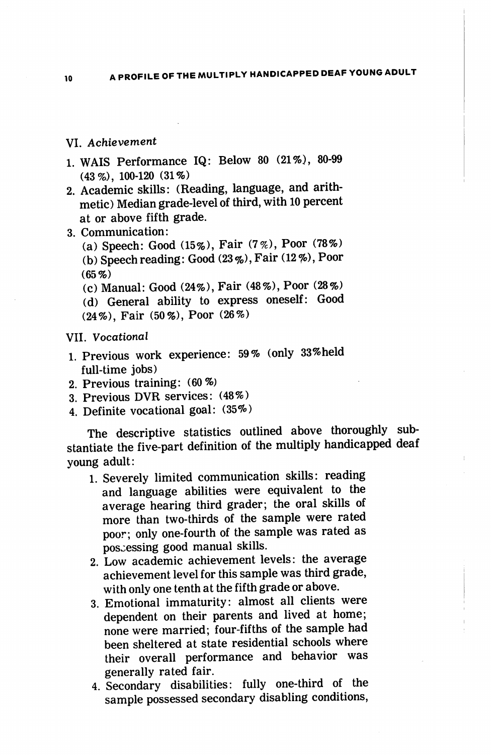## VI. Achievement

- 1. WAIS Performance IQ: Below 80 (21%), 80-99 (43%), 100-120 (31%)
- 2. Academic skills: (Reading, language, and arith metic) Median grade-level of third, with 10 percent at or above fifth grade.
- 3. Communication:

(a) Speech: Good (15%), Fair (7%), Poor (78%) (b) Speech reading: Good (23%), Fair (12%), Poor (65%)

(c) Manual: Good (24%), Fair (48%), Poor (28%) (d) General ability to express oneself: Good

(24%), Fair (50%), Poor (26%)

#### VII. Vocational

- 1. Previous work experience: 59% (only 33%held full-time jobs)
- 2. Previous training: (60%)
- 3. Previous DVR services: (48%)
- 4. Definite vocational goal: (35%)

The descriptive statistics outlined above thoroughly sub stantiate the five-part definition of the multiply handicapped deaf young adult:

- 1. Severely limited communication skills: reading and language abilities were equivalent to the average hearing third grader; the oral skills of more than two-thirds of the sample were rated poor; only one-fourth of the sample was rated as possessing good manual skills.
- 2. Low academic achievement levels: the average achievement level for this sample was third grade, with only one tenth at the fifth grade or above.
- 3. Emotional immaturity: almost all clients were dependent on their parents and lived at home; none were married; four-fifths of the sample had been sheltered at state residential schools where their overall performance and behavior was generally rated fair.
- 4. Secondary disabilities: fully one-third of the sample possessed secondary disabling conditions.